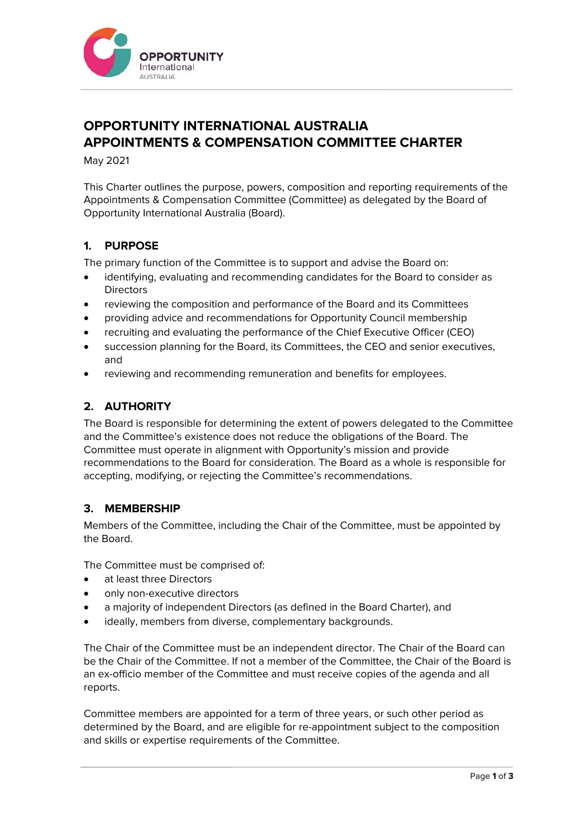

# **OPPORTUNITY INTERNATIONAL AUSTRALIA APPOINTMENTS & COMPENSATION COMMITTEE CHARTER**

May 2021

This Charter outlines the purpose, powers, composition and reporting requirements of the Appointments & Compensation Committee (Committee) as delegated by the Board of Opportunity International Australia (Board).

# **1. PURPOSE**

The primary function of the Committee is to support and advise the Board on:

- identifying, evaluating and recommending candidates for the Board to consider as **Directors**
- reviewing the composition and performance of the Board and its Committees
- providing advice and recommendations for Opportunity Council membership
- recruiting and evaluating the performance of the Chief Executive Officer (CEO)
- succession planning for the Board, its Committees, the CEO and senior executives, and
- reviewing and recommending remuneration and benefits for employees.

# **2. AUTHORITY**

The Board is responsible for determining the extent of powers delegated to the Committee and the Committee's existence does not reduce the obligations of the Board. The Committee must operate in alignment with Opportunity's mission and provide recommendations to the Board for consideration. The Board as a whole is responsible for accepting, modifying, or rejecting the Committee's recommendations.

### **3. MEMBERSHIP**

Members of the Committee, including the Chair of the Committee, must be appointed by the Board.

The Committee must be comprised of:

- at least three Directors
- only non-executive directors
- a majority of independent Directors (as defined in the Board Charter), and
- ideally, members from diverse, complementary backgrounds.

The Chair of the Committee must be an independent director. The Chair of the Board can be the Chair of the Committee. If not a member of the Committee, the Chair of the Board is an ex-officio member of the Committee and must receive copies of the agenda and all reports.

Committee members are appointed for a term of three years, or such other period as determined by the Board, and are eligible for re-appointment subject to the composition and skills or expertise requirements of the Committee.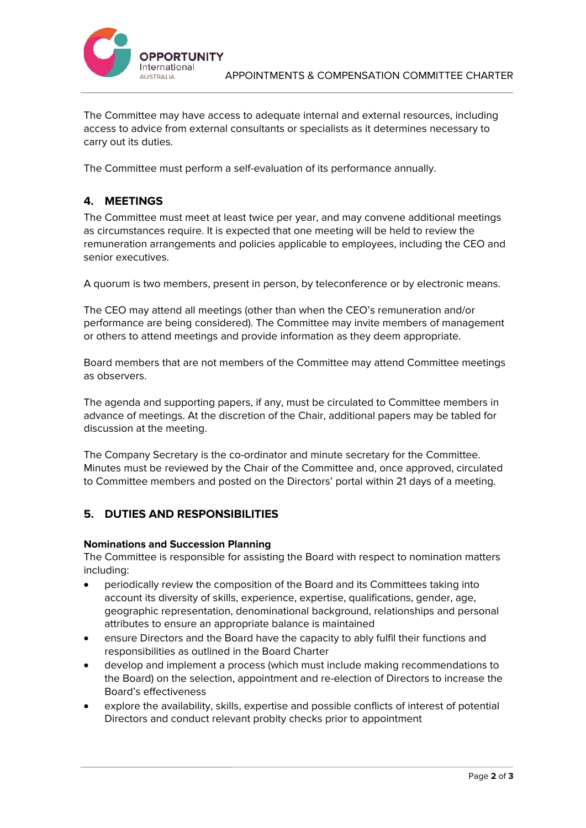

The Committee may have access to adequate internal and external resources, including access to advice from external consultants or specialists as it determines necessary to carry out its duties.

The Committee must perform a self-evaluation of its performance annually.

# **4. MEETINGS**

The Committee must meet at least twice per year, and may convene additional meetings as circumstances require. It is expected that one meeting will be held to review the remuneration arrangements and policies applicable to employees, including the CEO and senior executives.

A quorum is two members, present in person, by teleconference or by electronic means.

The CEO may attend all meetings (other than when the CEO's remuneration and/or performance are being considered). The Committee may invite members of management or others to attend meetings and provide information as they deem appropriate.

Board members that are not members of the Committee may attend Committee meetings as observers.

The agenda and supporting papers, if any, must be circulated to Committee members in advance of meetings. At the discretion of the Chair, additional papers may be tabled for discussion at the meeting.

The Company Secretary is the co-ordinator and minute secretary for the Committee. Minutes must be reviewed by the Chair of the Committee and, once approved, circulated to Committee members and posted on the Directors' portal within 21 days of a meeting.

# **5. DUTIES AND RESPONSIBILITIES**

#### **Nominations and Succession Planning**

The Committee is responsible for assisting the Board with respect to nomination matters including:

- periodically review the composition of the Board and its Committees taking into account its diversity of skills, experience, expertise, qualifications, gender, age, geographic representation, denominational background, relationships and personal attributes to ensure an appropriate balance is maintained
- ensure Directors and the Board have the capacity to ably fulfil their functions and responsibilities as outlined in the Board Charter
- develop and implement a process (which must include making recommendations to the Board) on the selection, appointment and re-election of Directors to increase the Board's effectiveness
- explore the availability, skills, expertise and possible conflicts of interest of potential Directors and conduct relevant probity checks prior to appointment